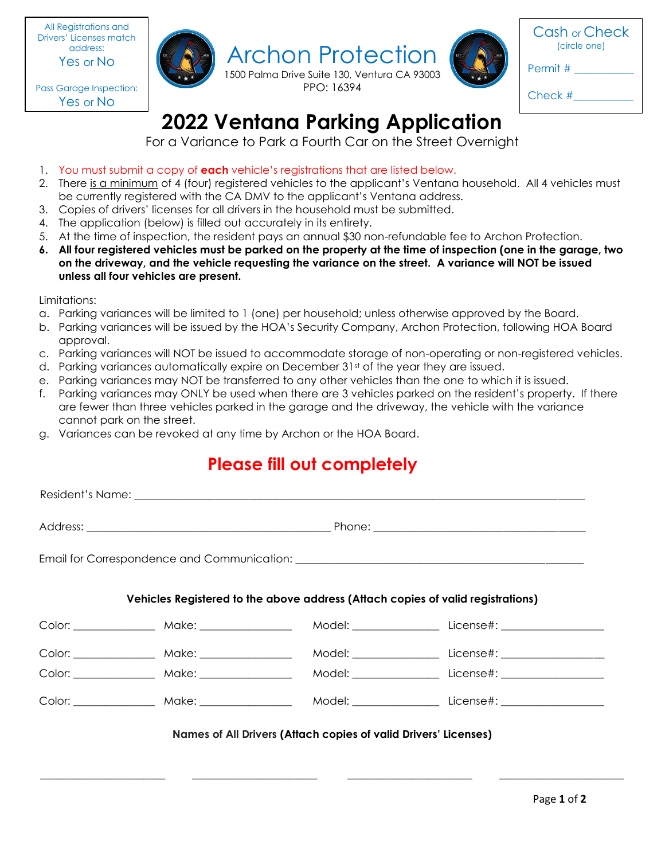All Registrations and Drivers' Licenses match address: Yes or No

 Yes or NoPass Garage Inspection:





Cash or Check (circle one)

Permit #

Check #\_\_\_\_\_\_\_\_\_\_\_

## **2022 Ventana Parking Application**

PPO: 16394

For a Variance to Park a Fourth Car on the Street Overnight

- 1. You must submit a copy of **each** vehicle's registrations that are listed below.
- 2. There is a minimum of 4 (four) registered vehicles to the applicant's Ventana household. All 4 vehicles must be currently registered with the CA DMV to the applicant's Ventana address.
- 3. Copies of drivers' licenses for all drivers in the household must be submitted.
- 4. The application (below) is filled out accurately in its entirety.
- 5. At the time of inspection, the resident pays an annual \$30 non-refundable fee to Archon Protection.
- **6. All four registered vehicles must be parked on the property at the time of inspection (one in the garage, two on the driveway, and the vehicle requesting the variance on the street. A variance will NOT be issued unless all four vehicles are present.**

Limitations:

- a. Parking variances will be limited to 1 (one) per household; unless otherwise approved by the Board.
- b. Parking variances will be issued by the HOA's Security Company, Archon Protection, following HOA Board approval.
- c. Parking variances will NOT be issued to accommodate storage of non-operating or non-registered vehicles.
- d. Parking variances automatically expire on December  $31<sup>st</sup>$  of the year they are issued.
- e. Parking variances may NOT be transferred to any other vehicles than the one to which it is issued.
- f. Parking variances may ONLY be used when there are 3 vehicles parked on the resident's property. If there are fewer than three vehicles parked in the garage and the driveway, the vehicle with the variance cannot park on the street.
- g. Variances can be revoked at any time by Archon or the HOA Board.

## **Please fill out completely**

| Vehicles Registered to the above address (Attach copies of valid registrations) |  |  |                                                                                                     |
|---------------------------------------------------------------------------------|--|--|-----------------------------------------------------------------------------------------------------|
|                                                                                 |  |  |                                                                                                     |
|                                                                                 |  |  |                                                                                                     |
|                                                                                 |  |  | Color: _______________ Make: ________________ Model: _______________ License#: ____________________ |
|                                                                                 |  |  | Model: License#:                                                                                    |

\_\_\_\_\_\_\_\_\_\_\_\_\_\_\_\_\_\_\_\_\_\_\_ \_\_\_\_\_\_\_\_\_\_\_\_\_\_\_\_\_\_\_\_\_\_\_ \_\_\_\_\_\_\_\_\_\_\_\_\_\_\_\_\_\_\_\_\_\_\_ \_\_\_\_\_\_\_\_\_\_\_\_\_\_\_\_\_\_\_\_\_\_\_